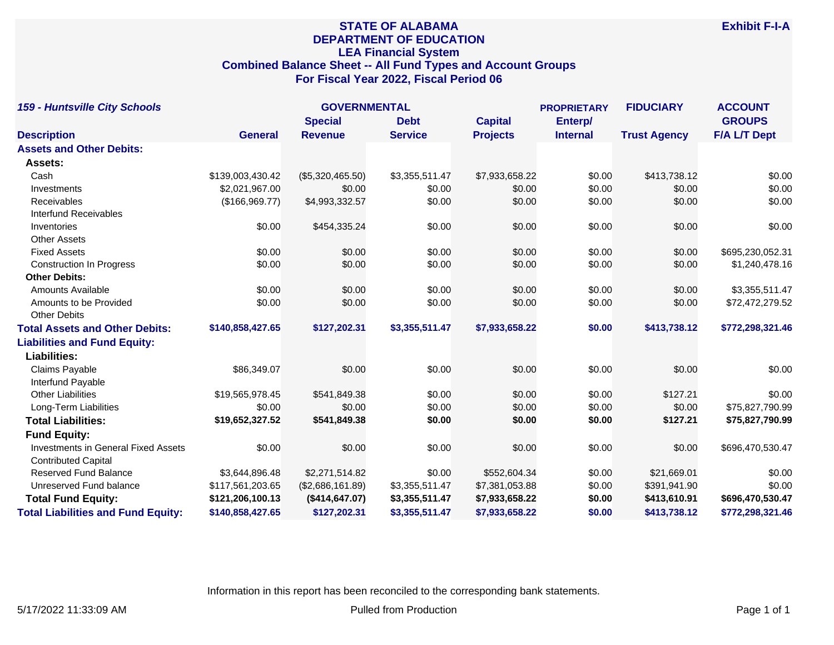# **STATE OF ALABAMA DEPARTMENT OF EDUCATION LEA Financial System Combined Balance Sheet -- All Fund Types and Account Groups For Fiscal Year 2022, Fiscal Period 06**

| <b>159 - Huntsville City Schools</b>       |                  | <b>GOVERNMENTAL</b> |                | <b>PROPRIETARY</b> |                 | <b>FIDUCIARY</b>    | <b>ACCOUNT</b>      |
|--------------------------------------------|------------------|---------------------|----------------|--------------------|-----------------|---------------------|---------------------|
|                                            |                  | <b>Special</b>      | <b>Debt</b>    | <b>Capital</b>     | Enterp/         |                     | <b>GROUPS</b>       |
| <b>Description</b>                         | <b>General</b>   | <b>Revenue</b>      | <b>Service</b> | <b>Projects</b>    | <b>Internal</b> | <b>Trust Agency</b> | <b>F/A L/T Dept</b> |
| <b>Assets and Other Debits:</b>            |                  |                     |                |                    |                 |                     |                     |
| Assets:                                    |                  |                     |                |                    |                 |                     |                     |
| Cash                                       | \$139,003,430.42 | (\$5,320,465.50)    | \$3,355,511.47 | \$7,933,658.22     | \$0.00          | \$413,738.12        | \$0.00              |
| Investments                                | \$2,021,967.00   | \$0.00              | \$0.00         | \$0.00             | \$0.00          | \$0.00              | \$0.00              |
| Receivables                                | (\$166,969.77)   | \$4,993,332.57      | \$0.00         | \$0.00             | \$0.00          | \$0.00              | \$0.00              |
| <b>Interfund Receivables</b>               |                  |                     |                |                    |                 |                     |                     |
| Inventories                                | \$0.00           | \$454,335.24        | \$0.00         | \$0.00             | \$0.00          | \$0.00              | \$0.00              |
| <b>Other Assets</b>                        |                  |                     |                |                    |                 |                     |                     |
| <b>Fixed Assets</b>                        | \$0.00           | \$0.00              | \$0.00         | \$0.00             | \$0.00          | \$0.00              | \$695,230,052.31    |
| <b>Construction In Progress</b>            | \$0.00           | \$0.00              | \$0.00         | \$0.00             | \$0.00          | \$0.00              | \$1,240,478.16      |
| <b>Other Debits:</b>                       |                  |                     |                |                    |                 |                     |                     |
| Amounts Available                          | \$0.00           | \$0.00              | \$0.00         | \$0.00             | \$0.00          | \$0.00              | \$3,355,511.47      |
| Amounts to be Provided                     | \$0.00           | \$0.00              | \$0.00         | \$0.00             | \$0.00          | \$0.00              | \$72,472,279.52     |
| <b>Other Debits</b>                        |                  |                     |                |                    |                 |                     |                     |
| <b>Total Assets and Other Debits:</b>      | \$140,858,427.65 | \$127,202.31        | \$3,355,511.47 | \$7,933,658.22     | \$0.00          | \$413,738.12        | \$772,298,321.46    |
| <b>Liabilities and Fund Equity:</b>        |                  |                     |                |                    |                 |                     |                     |
| <b>Liabilities:</b>                        |                  |                     |                |                    |                 |                     |                     |
| Claims Payable                             | \$86,349.07      | \$0.00              | \$0.00         | \$0.00             | \$0.00          | \$0.00              | \$0.00              |
| Interfund Payable                          |                  |                     |                |                    |                 |                     |                     |
| <b>Other Liabilities</b>                   | \$19,565,978.45  | \$541,849.38        | \$0.00         | \$0.00             | \$0.00          | \$127.21            | \$0.00              |
| Long-Term Liabilities                      | \$0.00           | \$0.00              | \$0.00         | \$0.00             | \$0.00          | \$0.00              | \$75,827,790.99     |
| <b>Total Liabilities:</b>                  | \$19,652,327.52  | \$541,849.38        | \$0.00         | \$0.00             | \$0.00          | \$127.21            | \$75,827,790.99     |
| <b>Fund Equity:</b>                        |                  |                     |                |                    |                 |                     |                     |
| <b>Investments in General Fixed Assets</b> | \$0.00           | \$0.00              | \$0.00         | \$0.00             | \$0.00          | \$0.00              | \$696,470,530.47    |
| <b>Contributed Capital</b>                 |                  |                     |                |                    |                 |                     |                     |
| <b>Reserved Fund Balance</b>               | \$3,644,896.48   | \$2,271,514.82      | \$0.00         | \$552,604.34       | \$0.00          | \$21,669.01         | \$0.00              |
| Unreserved Fund balance                    | \$117,561,203.65 | (\$2,686,161.89)    | \$3,355,511.47 | \$7,381,053.88     | \$0.00          | \$391,941.90        | \$0.00              |
| <b>Total Fund Equity:</b>                  | \$121,206,100.13 | (\$414, 647.07)     | \$3,355,511.47 | \$7,933,658.22     | \$0.00          | \$413,610.91        | \$696,470,530.47    |
| <b>Total Liabilities and Fund Equity:</b>  | \$140,858,427.65 | \$127,202.31        | \$3,355,511.47 | \$7,933,658.22     | \$0.00          | \$413,738.12        | \$772,298,321.46    |

Information in this report has been reconciled to the corresponding bank statements.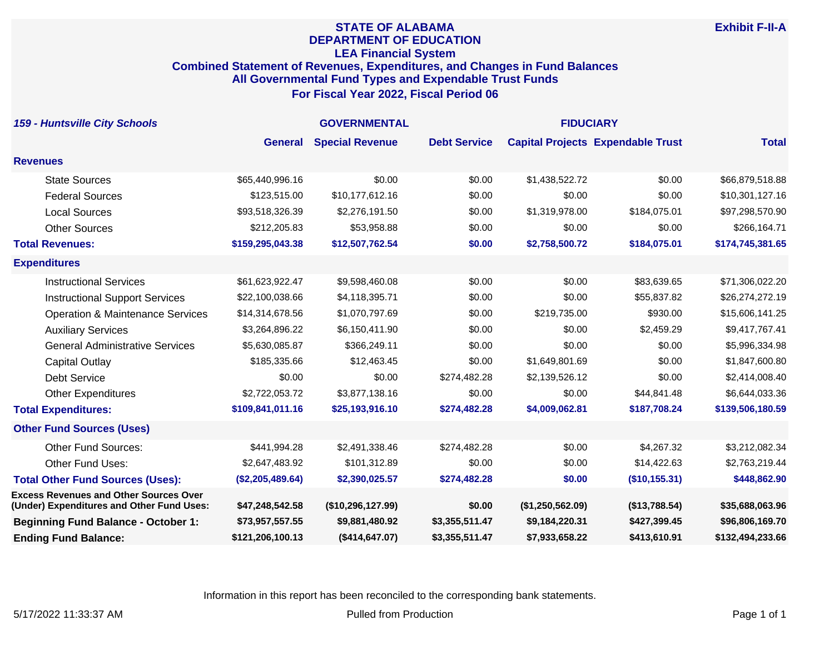## **STATE OF ALABAMA DEPARTMENT OF EDUCATION LEA Financial System Combined Statement of Revenues, Expenditures, and Changes in Fund Balances All Governmental Fund Types and Expendable Trust Funds For Fiscal Year 2022, Fiscal Period 06**

| <b>159 - Huntsville City Schools</b>                                                       | <b>GOVERNMENTAL</b> |                        |                     | <b>FIDUCIARY</b> |                                          |                  |
|--------------------------------------------------------------------------------------------|---------------------|------------------------|---------------------|------------------|------------------------------------------|------------------|
|                                                                                            | <b>General</b>      | <b>Special Revenue</b> | <b>Debt Service</b> |                  | <b>Capital Projects Expendable Trust</b> | <b>Total</b>     |
| <b>Revenues</b>                                                                            |                     |                        |                     |                  |                                          |                  |
| <b>State Sources</b>                                                                       | \$65,440,996.16     | \$0.00                 | \$0.00              | \$1,438,522.72   | \$0.00                                   | \$66,879,518.88  |
| <b>Federal Sources</b>                                                                     | \$123,515.00        | \$10,177,612.16        | \$0.00              | \$0.00           | \$0.00                                   | \$10,301,127.16  |
| <b>Local Sources</b>                                                                       | \$93,518,326.39     | \$2,276,191.50         | \$0.00              | \$1,319,978.00   | \$184,075.01                             | \$97,298,570.90  |
| <b>Other Sources</b>                                                                       | \$212,205.83        | \$53,958.88            | \$0.00              | \$0.00           | \$0.00                                   | \$266,164.71     |
| <b>Total Revenues:</b>                                                                     | \$159,295,043.38    | \$12,507,762.54        | \$0.00              | \$2,758,500.72   | \$184,075.01                             | \$174,745,381.65 |
| <b>Expenditures</b>                                                                        |                     |                        |                     |                  |                                          |                  |
| <b>Instructional Services</b>                                                              | \$61,623,922.47     | \$9,598,460.08         | \$0.00              | \$0.00           | \$83,639.65                              | \$71,306,022.20  |
| <b>Instructional Support Services</b>                                                      | \$22,100,038.66     | \$4,118,395.71         | \$0.00              | \$0.00           | \$55,837.82                              | \$26,274,272.19  |
| <b>Operation &amp; Maintenance Services</b>                                                | \$14,314,678.56     | \$1,070,797.69         | \$0.00              | \$219,735.00     | \$930.00                                 | \$15,606,141.25  |
| <b>Auxiliary Services</b>                                                                  | \$3,264,896.22      | \$6,150,411.90         | \$0.00              | \$0.00           | \$2,459.29                               | \$9,417,767.41   |
| <b>General Administrative Services</b>                                                     | \$5,630,085.87      | \$366,249.11           | \$0.00              | \$0.00           | \$0.00                                   | \$5,996,334.98   |
| <b>Capital Outlay</b>                                                                      | \$185,335.66        | \$12,463.45            | \$0.00              | \$1,649,801.69   | \$0.00                                   | \$1,847,600.80   |
| <b>Debt Service</b>                                                                        | \$0.00              | \$0.00                 | \$274,482.28        | \$2,139,526.12   | \$0.00                                   | \$2,414,008.40   |
| <b>Other Expenditures</b>                                                                  | \$2,722,053.72      | \$3,877,138.16         | \$0.00              | \$0.00           | \$44,841.48                              | \$6,644,033.36   |
| <b>Total Expenditures:</b>                                                                 | \$109,841,011.16    | \$25,193,916.10        | \$274,482.28        | \$4,009,062.81   | \$187,708.24                             | \$139,506,180.59 |
| <b>Other Fund Sources (Uses)</b>                                                           |                     |                        |                     |                  |                                          |                  |
| <b>Other Fund Sources:</b>                                                                 | \$441,994.28        | \$2,491,338.46         | \$274,482.28        | \$0.00           | \$4,267.32                               | \$3,212,082.34   |
| Other Fund Uses:                                                                           | \$2,647,483.92      | \$101,312.89           | \$0.00              | \$0.00           | \$14,422.63                              | \$2,763,219.44   |
| <b>Total Other Fund Sources (Uses):</b>                                                    | (\$2,205,489.64)    | \$2,390,025.57         | \$274,482.28        | \$0.00           | (\$10,155.31)                            | \$448,862.90     |
| <b>Excess Revenues and Other Sources Over</b><br>(Under) Expenditures and Other Fund Uses: | \$47,248,542.58     | (\$10,296,127.99)      | \$0.00              | (\$1,250,562.09) | (\$13,788.54)                            | \$35,688,063.96  |
| <b>Beginning Fund Balance - October 1:</b>                                                 | \$73,957,557.55     | \$9,881,480.92         | \$3,355,511.47      | \$9,184,220.31   | \$427,399.45                             | \$96,806,169.70  |
| <b>Ending Fund Balance:</b>                                                                | \$121,206,100.13    | (\$414, 647.07)        | \$3,355,511.47      | \$7,933,658.22   | \$413,610.91                             | \$132,494,233.66 |

Information in this report has been reconciled to the corresponding bank statements.

**Exhibit F-II-A**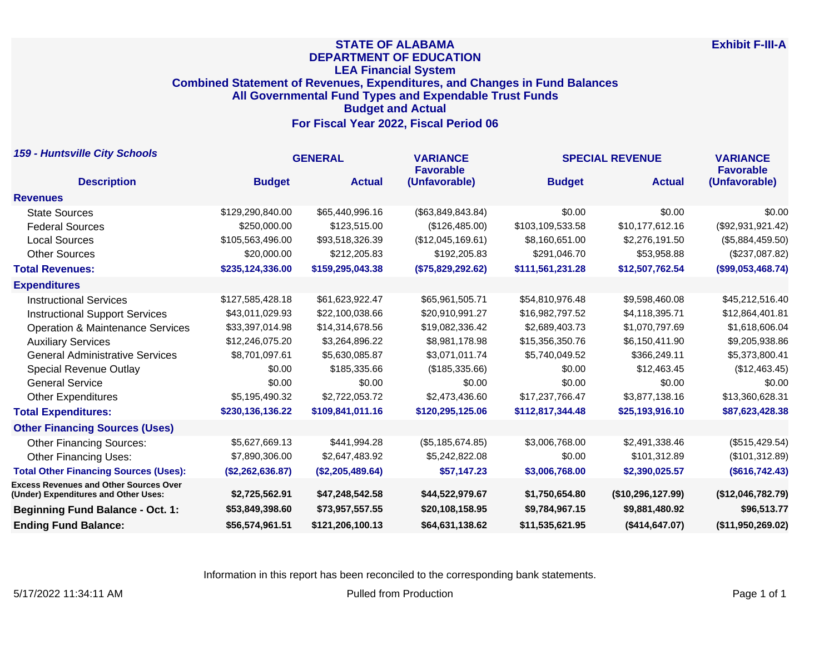## **STATE OF ALABAMA DEPARTMENT OF EDUCATION LEA Financial System Combined Statement of Revenues, Expenditures, and Changes in Fund Balances All Governmental Fund Types and Expendable Trust Funds Budget and Actual For Fiscal Year 2022, Fiscal Period 06**

| <b>159 - Huntsville City Schools</b>                                                  | <b>GENERAL</b>   |                  | <b>VARIANCE</b><br><b>Favorable</b> | <b>SPECIAL REVENUE</b> | <b>VARIANCE</b><br><b>Favorable</b> |                   |
|---------------------------------------------------------------------------------------|------------------|------------------|-------------------------------------|------------------------|-------------------------------------|-------------------|
| <b>Description</b>                                                                    | <b>Budget</b>    | <b>Actual</b>    | (Unfavorable)                       | <b>Budget</b>          | <b>Actual</b>                       | (Unfavorable)     |
| <b>Revenues</b>                                                                       |                  |                  |                                     |                        |                                     |                   |
| <b>State Sources</b>                                                                  | \$129,290,840.00 | \$65,440,996.16  | (\$63,849,843.84)                   | \$0.00                 | \$0.00                              | \$0.00            |
| <b>Federal Sources</b>                                                                | \$250,000.00     | \$123,515.00     | (\$126,485.00)                      | \$103,109,533.58       | \$10,177,612.16                     | (\$92,931,921.42) |
| <b>Local Sources</b>                                                                  | \$105,563,496.00 | \$93,518,326.39  | (\$12,045,169.61)                   | \$8,160,651.00         | \$2,276,191.50                      | (\$5,884,459.50)  |
| <b>Other Sources</b>                                                                  | \$20,000.00      | \$212,205.83     | \$192,205.83                        | \$291,046.70           | \$53,958.88                         | (\$237,087.82)    |
| <b>Total Revenues:</b>                                                                | \$235,124,336.00 | \$159,295,043.38 | (\$75,829,292.62)                   | \$111,561,231.28       | \$12,507,762.54                     | (\$99,053,468.74) |
| <b>Expenditures</b>                                                                   |                  |                  |                                     |                        |                                     |                   |
| <b>Instructional Services</b>                                                         | \$127,585,428.18 | \$61,623,922.47  | \$65,961,505.71                     | \$54,810,976.48        | \$9,598,460.08                      | \$45,212,516.40   |
| <b>Instructional Support Services</b>                                                 | \$43,011,029.93  | \$22,100,038.66  | \$20,910,991.27                     | \$16,982,797.52        | \$4,118,395.71                      | \$12,864,401.81   |
| <b>Operation &amp; Maintenance Services</b>                                           | \$33,397,014.98  | \$14,314,678.56  | \$19,082,336.42                     | \$2,689,403.73         | \$1,070,797.69                      | \$1,618,606.04    |
| <b>Auxiliary Services</b>                                                             | \$12,246,075.20  | \$3,264,896.22   | \$8,981,178.98                      | \$15,356,350.76        | \$6,150,411.90                      | \$9,205,938.86    |
| <b>General Administrative Services</b>                                                | \$8,701,097.61   | \$5,630,085.87   | \$3,071,011.74                      | \$5,740,049.52         | \$366,249.11                        | \$5,373,800.41    |
| <b>Special Revenue Outlay</b>                                                         | \$0.00           | \$185,335.66     | (\$185,335.66)                      | \$0.00                 | \$12,463,45                         | (\$12,463.45)     |
| <b>General Service</b>                                                                | \$0.00           | \$0.00           | \$0.00                              | \$0.00                 | \$0.00                              | \$0.00            |
| <b>Other Expenditures</b>                                                             | \$5,195,490.32   | \$2,722,053.72   | \$2,473,436.60                      | \$17,237,766.47        | \$3,877,138.16                      | \$13,360,628.31   |
| <b>Total Expenditures:</b>                                                            | \$230,136,136.22 | \$109,841,011.16 | \$120,295,125.06                    | \$112,817,344.48       | \$25,193,916.10                     | \$87,623,428.38   |
| <b>Other Financing Sources (Uses)</b>                                                 |                  |                  |                                     |                        |                                     |                   |
| <b>Other Financing Sources:</b>                                                       | \$5,627,669.13   | \$441,994.28     | (\$5,185,674.85)                    | \$3,006,768.00         | \$2,491,338.46                      | (\$515, 429.54)   |
| <b>Other Financing Uses:</b>                                                          | \$7,890,306.00   | \$2,647,483.92   | \$5,242,822.08                      | \$0.00                 | \$101,312.89                        | (\$101,312.89)    |
| <b>Total Other Financing Sources (Uses):</b>                                          | (\$2,262,636.87) | (\$2,205,489.64) | \$57,147.23                         | \$3,006,768.00         | \$2,390,025.57                      | (\$616, 742.43)   |
| <b>Excess Revenues and Other Sources Over</b><br>(Under) Expenditures and Other Uses: | \$2,725,562.91   | \$47,248,542.58  | \$44,522,979.67                     | \$1,750,654.80         | (\$10,296,127.99)                   | (\$12,046,782.79) |
| <b>Beginning Fund Balance - Oct. 1:</b>                                               | \$53,849,398.60  | \$73,957,557.55  | \$20,108,158.95                     | \$9,784,967.15         | \$9,881,480.92                      | \$96,513.77       |
| <b>Ending Fund Balance:</b>                                                           | \$56,574,961.51  | \$121,206,100.13 | \$64,631,138.62                     | \$11,535,621.95        | (\$414,647.07)                      | (\$11,950,269.02) |

Information in this report has been reconciled to the corresponding bank statements.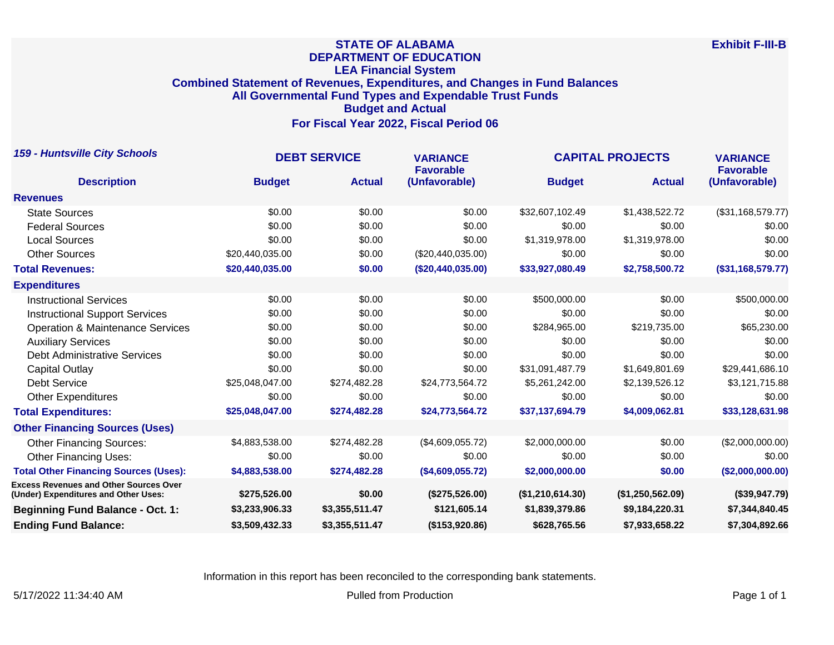## **STATE OF ALABAMA DEPARTMENT OF EDUCATION LEA Financial System Combined Statement of Revenues, Expenditures, and Changes in Fund Balances All Governmental Fund Types and Expendable Trust Funds Budget and Actual For Fiscal Year 2022, Fiscal Period 06**

| <b>159 - Huntsville City Schools</b>                                                  | <b>DEBT SERVICE</b> |                | <b>VARIANCE</b><br><b>Favorable</b> | <b>CAPITAL PROJECTS</b> | <b>VARIANCE</b><br><b>Favorable</b> |                   |
|---------------------------------------------------------------------------------------|---------------------|----------------|-------------------------------------|-------------------------|-------------------------------------|-------------------|
| <b>Description</b>                                                                    | <b>Budget</b>       | <b>Actual</b>  | (Unfavorable)                       | <b>Budget</b>           | <b>Actual</b>                       | (Unfavorable)     |
| <b>Revenues</b>                                                                       |                     |                |                                     |                         |                                     |                   |
| <b>State Sources</b>                                                                  | \$0.00              | \$0.00         | \$0.00                              | \$32,607,102.49         | \$1,438,522.72                      | (\$31,168,579.77) |
| <b>Federal Sources</b>                                                                | \$0.00              | \$0.00         | \$0.00                              | \$0.00                  | \$0.00                              | \$0.00            |
| <b>Local Sources</b>                                                                  | \$0.00              | \$0.00         | \$0.00                              | \$1,319,978.00          | \$1,319,978.00                      | \$0.00            |
| <b>Other Sources</b>                                                                  | \$20,440,035.00     | \$0.00         | (\$20,440,035.00)                   | \$0.00                  | \$0.00                              | \$0.00            |
| <b>Total Revenues:</b>                                                                | \$20,440,035.00     | \$0.00         | (\$20,440,035.00)                   | \$33,927,080.49         | \$2,758,500.72                      | (\$31,168,579.77) |
| <b>Expenditures</b>                                                                   |                     |                |                                     |                         |                                     |                   |
| <b>Instructional Services</b>                                                         | \$0.00              | \$0.00         | \$0.00                              | \$500,000.00            | \$0.00                              | \$500,000.00      |
| <b>Instructional Support Services</b>                                                 | \$0.00              | \$0.00         | \$0.00                              | \$0.00                  | \$0.00                              | \$0.00            |
| <b>Operation &amp; Maintenance Services</b>                                           | \$0.00              | \$0.00         | \$0.00                              | \$284,965.00            | \$219,735.00                        | \$65,230.00       |
| <b>Auxiliary Services</b>                                                             | \$0.00              | \$0.00         | \$0.00                              | \$0.00                  | \$0.00                              | \$0.00            |
| <b>Debt Administrative Services</b>                                                   | \$0.00              | \$0.00         | \$0.00                              | \$0.00                  | \$0.00                              | \$0.00            |
| Capital Outlay                                                                        | \$0.00              | \$0.00         | \$0.00                              | \$31,091,487.79         | \$1,649,801.69                      | \$29,441,686.10   |
| <b>Debt Service</b>                                                                   | \$25,048,047.00     | \$274,482.28   | \$24,773,564.72                     | \$5,261,242.00          | \$2,139,526.12                      | \$3,121,715.88    |
| <b>Other Expenditures</b>                                                             | \$0.00              | \$0.00         | \$0.00                              | \$0.00                  | \$0.00                              | \$0.00            |
| <b>Total Expenditures:</b>                                                            | \$25,048,047.00     | \$274,482.28   | \$24,773,564.72                     | \$37,137,694.79         | \$4,009,062.81                      | \$33,128,631.98   |
| <b>Other Financing Sources (Uses)</b>                                                 |                     |                |                                     |                         |                                     |                   |
| <b>Other Financing Sources:</b>                                                       | \$4,883,538.00      | \$274,482.28   | (\$4,609,055.72)                    | \$2,000,000.00          | \$0.00                              | (\$2,000,000.00)  |
| <b>Other Financing Uses:</b>                                                          | \$0.00              | \$0.00         | \$0.00                              | \$0.00                  | \$0.00                              | \$0.00            |
| <b>Total Other Financing Sources (Uses):</b>                                          | \$4,883,538.00      | \$274,482.28   | (\$4,609,055.72)                    | \$2,000,000.00          | \$0.00                              | (\$2,000,000.00)  |
| <b>Excess Revenues and Other Sources Over</b><br>(Under) Expenditures and Other Uses: | \$275,526.00        | \$0.00         | (\$275,526.00)                      | (\$1,210,614.30)        | (\$1,250,562.09)                    | (\$39,947.79)     |
| <b>Beginning Fund Balance - Oct. 1:</b>                                               | \$3,233,906.33      | \$3,355,511.47 | \$121,605.14                        | \$1,839,379.86          | \$9,184,220.31                      | \$7,344,840.45    |
| <b>Ending Fund Balance:</b>                                                           | \$3,509,432.33      | \$3,355,511.47 | (\$153,920.86)                      | \$628,765.56            | \$7,933,658.22                      | \$7,304,892.66    |

Information in this report has been reconciled to the corresponding bank statements.

5/17/2022 11:34:40 AM Pulled from Production Production Production Production Production